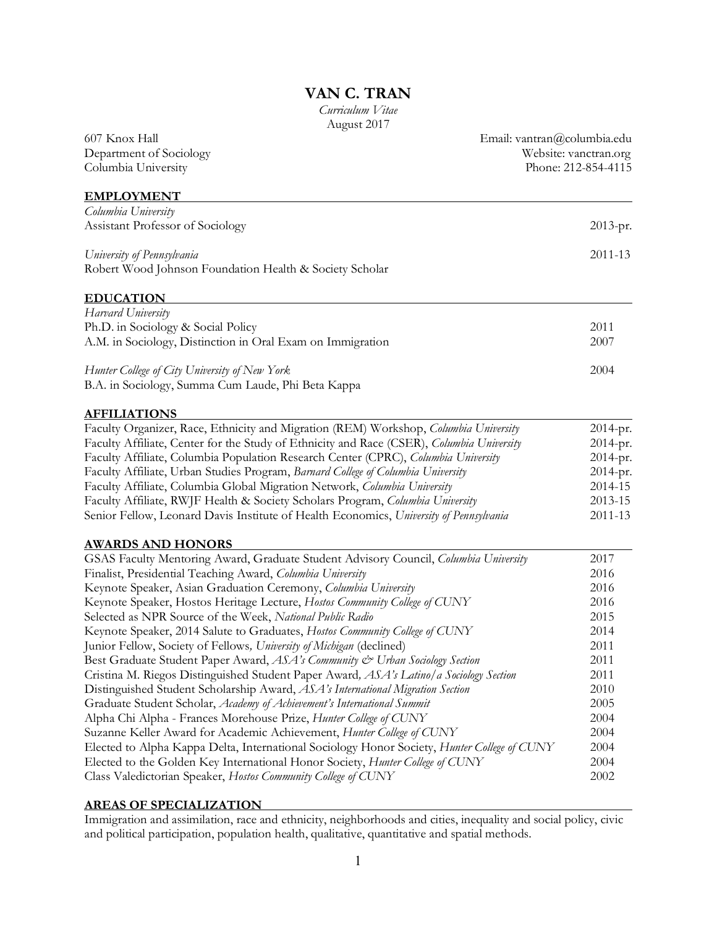# **VAN C. TRAN**

 August 2017 *Curriculum Vitae* 

| 607 Knox Hall                                                                               | Email: vantran@columbia.edu |  |
|---------------------------------------------------------------------------------------------|-----------------------------|--|
| Department of Sociology                                                                     | Website: vanctran.org       |  |
| Columbia University                                                                         | Phone: 212-854-4115         |  |
| <b>EMPLOYMENT</b>                                                                           |                             |  |
| Columbia University                                                                         |                             |  |
| Assistant Professor of Sociology                                                            | $2013-pr.$                  |  |
| University of Pennsylvania                                                                  | 2011-13                     |  |
| Robert Wood Johnson Foundation Health & Society Scholar                                     |                             |  |
| <b>EDUCATION</b>                                                                            |                             |  |
| Harvard University                                                                          |                             |  |
| Ph.D. in Sociology & Social Policy                                                          | 2011                        |  |
| A.M. in Sociology, Distinction in Oral Exam on Immigration                                  | 2007                        |  |
| Hunter College of City University of New York                                               | 2004                        |  |
| B.A. in Sociology, Summa Cum Laude, Phi Beta Kappa                                          |                             |  |
| <b>AFFILIATIONS</b>                                                                         |                             |  |
| Faculty Organizer, Race, Ethnicity and Migration (REM) Workshop, Columbia University        | 2014-pr.                    |  |
| Faculty Affiliate, Center for the Study of Ethnicity and Race (CSER), Columbia University   | 2014-pr.                    |  |
| Faculty Affiliate, Columbia Population Research Center (CPRC), Columbia University          | 2014-pr.                    |  |
| Faculty Affiliate, Urban Studies Program, Barnard College of Columbia University            | 2014-pr.                    |  |
| Faculty Affiliate, Columbia Global Migration Network, Columbia University                   | 2014-15                     |  |
| Faculty Affiliate, RWJF Health & Society Scholars Program, Columbia University              | 2013-15                     |  |
| Senior Fellow, Leonard Davis Institute of Health Economics, University of Pennsylvania      | 2011-13                     |  |
| <b>AWARDS AND HONORS</b>                                                                    |                             |  |
| GSAS Faculty Mentoring Award, Graduate Student Advisory Council, Columbia University        | 2017                        |  |
| Finalist, Presidential Teaching Award, Columbia University                                  | 2016                        |  |
| Keynote Speaker, Asian Graduation Ceremony, Columbia University                             | 2016                        |  |
| Keynote Speaker, Hostos Heritage Lecture, Hostos Community College of CUNY                  | 2016                        |  |
| Selected as NPR Source of the Week, National Public Radio                                   | 2015                        |  |
| Keynote Speaker, 2014 Salute to Graduates, Hostos Community College of CUNY                 | 2014                        |  |
| Junior Fellow, Society of Fellows, University of Michigan (declined)                        | 2011                        |  |
| Best Graduate Student Paper Award, ASA's Community & Urban Sociology Section                | 2011                        |  |
| Cristina M. Riegos Distinguished Student Paper Award, ASA's Latino/a Sociology Section      | 2011                        |  |
| Distinguished Student Scholarship Award, ASA's International Migration Section              | 2010                        |  |
| Graduate Student Scholar, Academy of Achievement's International Summit                     | 2005                        |  |
| Alpha Chi Alpha - Frances Morehouse Prize, Hunter College of CUNY                           | 2004                        |  |
| Suzanne Keller Award for Academic Achievement, Hunter College of CUNY                       | 2004                        |  |
| Elected to Alpha Kappa Delta, International Sociology Honor Society, Hunter College of CUNY | 2004                        |  |
| Elected to the Golden Key International Honor Society, Hunter College of CUNY               | 2004                        |  |
| Class Valedictorian Speaker, Hostos Community College of CUNY                               | 2002                        |  |

### **AREAS OF SPECIALIZATION**

 Immigration and assimilation, race and ethnicity, neighborhoods and cities, inequality and social policy, civic and political participation, population health, qualitative, quantitative and spatial methods.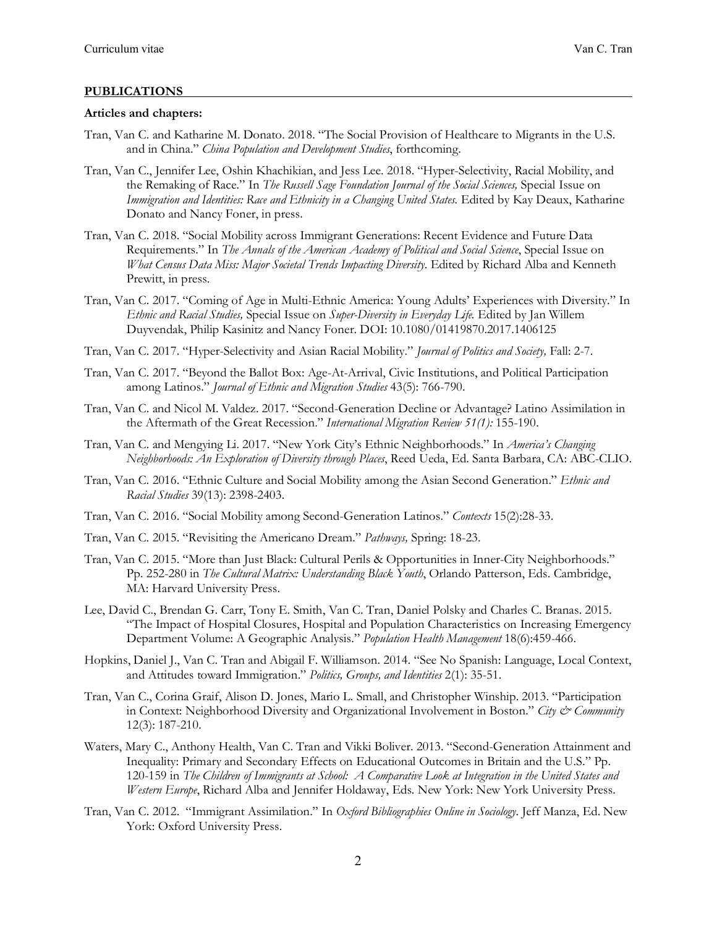### **PUBLICATIONS**

#### **Articles and chapters:**

 $\overline{a}$ 

- Tran, Van C. and Katharine M. Donato. 2018. "The Social Provision of Healthcare to Migrants in the U.S. and in China." *China Population and Development Studies*, forthcoming.
- Tran, Van C., Jennifer Lee, Oshin Khachikian, and Jess Lee. 2018. "Hyper-Selectivity, Racial Mobility, and the Remaking of Race." In *The Russell Sage Foundation Journal of the Social Sciences,* Special Issue on Immigration and Identities: Race and Ethnicity in a Changing United States. Edited by Kay Deaux, Katharine Donato and Nancy Foner, in press.
- Tran, Van C. 2018. "Social Mobility across Immigrant Generations: Recent Evidence and Future Data Requirements." In *The Annals of the American Academy of Political and Social Science*, Special Issue on What Census Data Miss: Major Societal Trends Impacting Diversity. Edited by Richard Alba and Kenneth Prewitt, in press.
- Tran, Van C. 2017. "Coming of Age in Multi-Ethnic America: Young Adults' Experiences with Diversity." In  *Ethnic and Racial Studies,* Special Issue on *Super-Diversity in Everyday Life.* Edited by Jan Willem Duyvendak, Philip Kasinitz and Nancy Foner. DOI: 10.1080/01419870.2017.1406125
- Tran, Van C. 2017. "Hyper-Selectivity and Asian Racial Mobility." *Journal of Politics and Society,* Fall: 2-7.
- Tran, Van C. 2017. "Beyond the Ballot Box: Age-At-Arrival, Civic Institutions, and Political Participation among Latinos." *Journal of Ethnic and Migration Studies* 43(5): 766-790.
- Tran, Van C. and Nicol M. Valdez. 2017. "Second-Generation Decline or Advantage? Latino Assimilation in the Aftermath of the Great Recession." *International Migration Review 51(1):* 155-190.
- Tran, Van C. and Mengying Li. 2017. "New York City's Ethnic Neighborhoods." In *America's Changing Neighborhoods: An Exploration of Diversity through Places*, Reed Ueda, Ed. Santa Barbara, CA: ABC-CLIO.
- Tran, Van C. 2016. "Ethnic Culture and Social Mobility among the Asian Second Generation." *Ethnic and Racial Studies* 39(13): 2398-2403.
- Tran, Van C. 2016. "Social Mobility among Second-Generation Latinos." *Contexts* 15(2):28-33.
- Tran, Van C. 2015. "Revisiting the Americano Dream." *Pathways,* Spring: 18-23.
- Tran, Van C. 2015. "More than Just Black: Cultural Perils & Opportunities in Inner-City Neighborhoods."  Pp. 252-280 in *The Cultural Matrix: Understanding Black Youth*, Orlando Patterson, Eds. Cambridge, MA: Harvard University Press.
- Lee, David C., Brendan G. Carr, Tony E. Smith, Van C. Tran, Daniel Polsky and Charles C. Branas. 2015. "The Impact of Hospital Closures, Hospital and Population Characteristics on Increasing Emergency Department Volume: A Geographic Analysis." *Population Health Management* 18(6):459-466.
- Hopkins, Daniel J., Van C. Tran and Abigail F. Williamson. 2014. "See No Spanish: Language, Local Context, and Attitudes toward Immigration." *Politics, Groups, and Identities* 2(1): 35-51.
- Tran, Van C., Corina Graif, Alison D. Jones, Mario L. Small, and Christopher Winship. 2013. "Participation in Context: Neighborhood Diversity and Organizational Involvement in Boston." *City & Community*  12(3): 187-210.
- Waters, Mary C., Anthony Health, Van C. Tran and Vikki Boliver. 2013. "Second-Generation Attainment and Inequality: Primary and Secondary Effects on Educational Outcomes in Britain and the U.S." Pp.  120-159 in *The Children of Immigrants at School: A Comparative Look at Integration in the United States and Western Europe*, Richard Alba and Jennifer Holdaway, Eds. New York: New York University Press.
- Tran, Van C. 2012. "Immigrant Assimilation." In *Oxford Bibliographies Online in Sociology*. Jeff Manza, Ed. New York: Oxford University Press.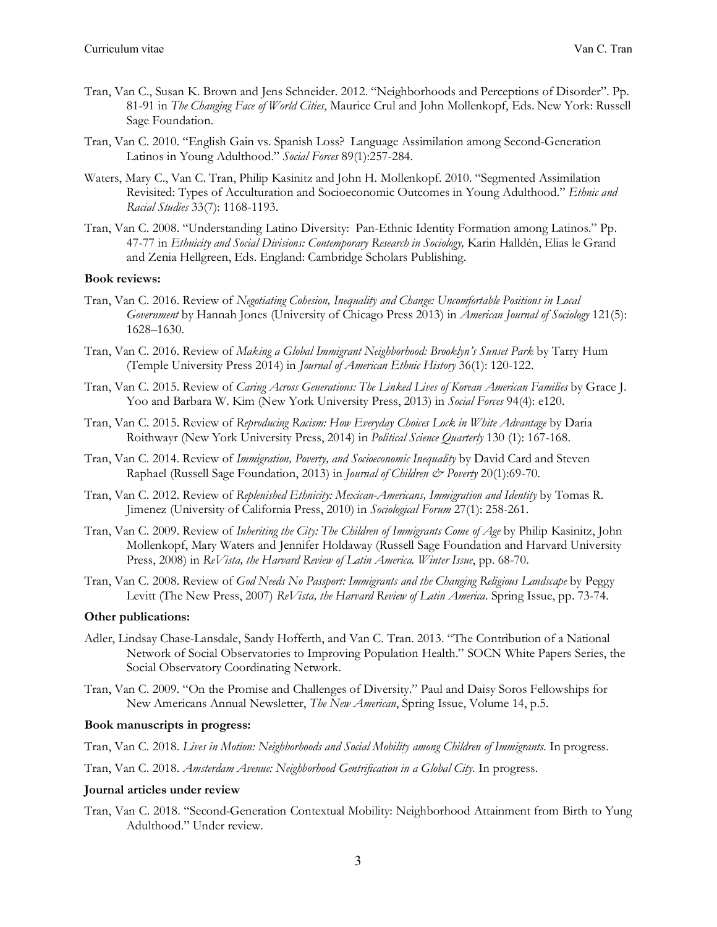- Tran, Van C., Susan K. Brown and Jens Schneider. 2012. "Neighborhoods and Perceptions of Disorder". Pp. 81-91 in *The Changing Face of World Cities*, Maurice Crul and John Mollenkopf, Eds. New York: Russell Sage Foundation.
- Tran, Van C. 2010. "English Gain vs. Spanish Loss? Language Assimilation among Second-Generation Latinos in Young Adulthood." *Social Forces* 89(1):257-284.
- Waters, Mary C., Van C. Tran, Philip Kasinitz and John H. Mollenkopf. 2010. "Segmented Assimilation Revisited: Types of Acculturation and Socioeconomic Outcomes in Young Adulthood." *Ethnic and Racial Studies* 33(7): 1168-1193.
- Tran, Van C. 2008. "Understanding Latino Diversity: Pan-Ethnic Identity Formation among Latinos." Pp. 47-77 in *Ethnicity and Social Divisions: Contemporary Research in Sociology*, Karin Halldén, Elias le Grand and Zenia Hellgreen, Eds. England: Cambridge Scholars Publishing.

### **Book reviews:**

- Tran, Van C. 2016. Review of *Negotiating Cohesion, Inequality and Change: Uncomfortable Positions in Local Government* by Hannah Jones (University of Chicago Press 2013) in *American Journal of Sociology* 121(5): 1628–1630.
- Tran, Van C. 2016. Review of *Making a Global Immigrant Neighborhood: Brooklyn's Sunset Park* by Tarry Hum (Temple University Press 2014) in *Journal of American Ethnic History* 36(1): 120-122.
- Tran, Van C. 2015. Review of *Caring Across Generations: The Linked Lives of Korean American Families* by Grace J. Yoo and Barbara W. Kim (New York University Press, 2013) in *Social Forces* 94(4): e120.
- Tran, Van C. 2015. Review of *Reproducing Racism: How Everyday Choices Lock in White Advantage* by Daria Roithwayr (New York University Press, 2014) in *Political Science Quarterly* 130 (1): 167-168.
- Tran, Van C. 2014. Review of *Immigration, Poverty, and Socioeconomic Inequality* by David Card and Steven Raphael (Russell Sage Foundation, 2013) in *Journal of Children & Poverty* 20(1):69-70.
- Tran, Van C. 2012. Review of *Replenished Ethnicity: Mexican-Americans, Immigration and Identity* by Tomas R. Jimenez (University of California Press, 2010) in *Sociological Forum* 27(1): 258-261.
- Tran, Van C. 2009. Review of *Inheriting the City: The Children of Immigrants Come of Age* by Philip Kasinitz, John Mollenkopf, Mary Waters and Jennifer Holdaway (Russell Sage Foundation and Harvard University Press, 2008) in *ReVista, the Harvard Review of Latin America. Winter Issue*, pp. 68-70.
- Tran, Van C. 2008. Review of *God Needs No Passport: Immigrants and the Changing Religious Landscape* by Peggy Levitt (The New Press, 2007) *ReVista, the Harvard Review of Latin America*. Spring Issue, pp. 73-74.

#### **Other publications:**

- Adler, Lindsay Chase-Lansdale, Sandy Hofferth, and Van C. Tran. 2013. "The Contribution of a National Network of Social Observatories to Improving Population Health." SOCN White Papers Series, the Social Observatory Coordinating Network.
- Tran, Van C. 2009. "On the Promise and Challenges of Diversity." Paul and Daisy Soros Fellowships for New Americans Annual Newsletter, *The New American*, Spring Issue, Volume 14, p.5.

### **Book manuscripts in progress:**

- Tran, Van C. 2018. *Lives in Motion: Neighborhoods and Social Mobility among Children of Immigrants*. In progress.
- Tran, Van C. 2018. *Amsterdam Avenue: Neighborhood Gentrification in a Global City*. In progress.

### **Journal articles under review**

 Tran, Van C. 2018. "Second-Generation Contextual Mobility: Neighborhood Attainment from Birth to Yung Adulthood." Under review.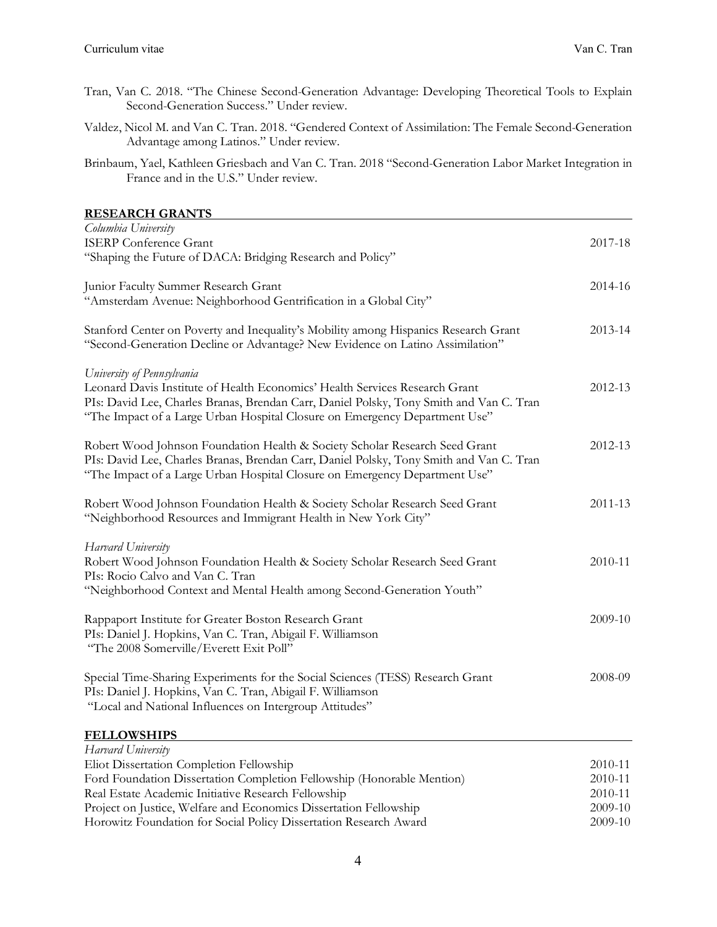- Tran, Van C. 2018. "The Chinese Second-Generation Advantage: Developing Theoretical Tools to Explain Second-Generation Success." Under review.
- Valdez, Nicol M. and Van C. Tran. 2018. "Gendered Context of Assimilation: The Female Second-Generation Advantage among Latinos." Under review.
- Brinbaum, Yael, Kathleen Griesbach and Van C. Tran. 2018 "Second-Generation Labor Market Integration in France and in the U.S." Under review.

### **RESEARCH GRANTS**

| Columbia University                                                                                                                                                                                                                                                                |         |
|------------------------------------------------------------------------------------------------------------------------------------------------------------------------------------------------------------------------------------------------------------------------------------|---------|
| <b>ISERP</b> Conference Grant                                                                                                                                                                                                                                                      | 2017-18 |
| "Shaping the Future of DACA: Bridging Research and Policy"                                                                                                                                                                                                                         |         |
| Junior Faculty Summer Research Grant                                                                                                                                                                                                                                               | 2014-16 |
| "Amsterdam Avenue: Neighborhood Gentrification in a Global City"                                                                                                                                                                                                                   |         |
| Stanford Center on Poverty and Inequality's Mobility among Hispanics Research Grant<br>"Second-Generation Decline or Advantage? New Evidence on Latino Assimilation"                                                                                                               | 2013-14 |
| University of Pennsylvania<br>Leonard Davis Institute of Health Economics' Health Services Research Grant<br>PIs: David Lee, Charles Branas, Brendan Carr, Daniel Polsky, Tony Smith and Van C. Tran<br>"The Impact of a Large Urban Hospital Closure on Emergency Department Use" | 2012-13 |
| Robert Wood Johnson Foundation Health & Society Scholar Research Seed Grant<br>PIs: David Lee, Charles Branas, Brendan Carr, Daniel Polsky, Tony Smith and Van C. Tran<br>"The Impact of a Large Urban Hospital Closure on Emergency Department Use"                               | 2012-13 |
| Robert Wood Johnson Foundation Health & Society Scholar Research Seed Grant<br>"Neighborhood Resources and Immigrant Health in New York City"                                                                                                                                      | 2011-13 |
| Harvard University                                                                                                                                                                                                                                                                 |         |
| Robert Wood Johnson Foundation Health & Society Scholar Research Seed Grant                                                                                                                                                                                                        | 2010-11 |
| PIs: Rocio Calvo and Van C. Tran                                                                                                                                                                                                                                                   |         |
| "Neighborhood Context and Mental Health among Second-Generation Youth"                                                                                                                                                                                                             |         |
| Rappaport Institute for Greater Boston Research Grant                                                                                                                                                                                                                              | 2009-10 |
| PIs: Daniel J. Hopkins, Van C. Tran, Abigail F. Williamson<br>"The 2008 Somerville/Everett Exit Poll"                                                                                                                                                                              |         |
| Special Time-Sharing Experiments for the Social Sciences (TESS) Research Grant                                                                                                                                                                                                     | 2008-09 |
| PIs: Daniel J. Hopkins, Van C. Tran, Abigail F. Williamson                                                                                                                                                                                                                         |         |
| "Local and National Influences on Intergroup Attitudes"                                                                                                                                                                                                                            |         |
| <b>FELLOWSHIPS</b>                                                                                                                                                                                                                                                                 |         |
| Harvard University                                                                                                                                                                                                                                                                 |         |
| Eliot Dissertation Completion Fellowship                                                                                                                                                                                                                                           | 2010-11 |

| Real Estate Academic Initiative Research Fellowship               | 2010-11 |
|-------------------------------------------------------------------|---------|
| Project on Justice, Welfare and Economics Dissertation Fellowship | 2009-10 |
| Horowitz Foundation for Social Policy Dissertation Research Award | 2009-10 |

Ford Foundation Dissertation Completion Fellowship (Honorable Mention) 2010-11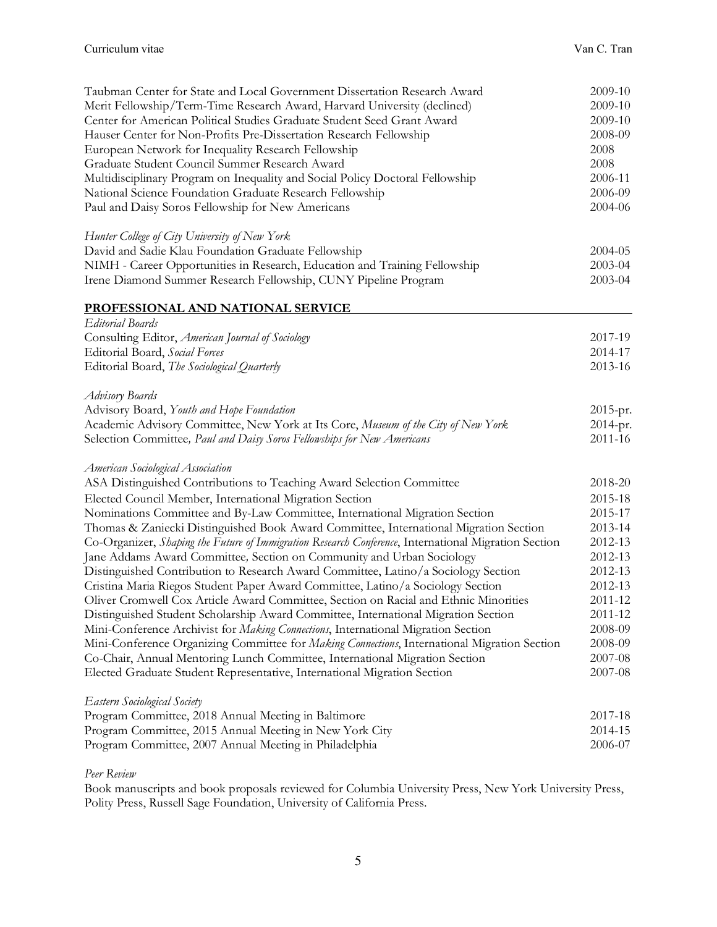| Taubman Center for State and Local Government Dissertation Research Award                            | 2009-10  |
|------------------------------------------------------------------------------------------------------|----------|
| Ment Fellowship/Term-Time Research Award, Harvard University (declined)                              | 2009-10  |
| Center for American Political Studies Graduate Student Seed Grant Award                              | 2009-10  |
| Hauser Center for Non-Profits Pre-Dissertation Research Fellowship                                   | 2008-09  |
| European Network for Inequality Research Fellowship                                                  | 2008     |
| Graduate Student Council Summer Research Award                                                       | 2008     |
| Multidisciplinary Program on Inequality and Social Policy Doctoral Fellowship                        | 2006-11  |
| National Science Foundation Graduate Research Fellowship                                             | 2006-09  |
| Paul and Daisy Soros Fellowship for New Americans                                                    | 2004-06  |
| Hunter College of City University of New York                                                        |          |
| David and Sadie Klau Foundation Graduate Fellowship                                                  | 2004-05  |
| NIMH - Career Opportunities in Research, Education and Training Fellowship                           | 2003-04  |
| Irene Diamond Summer Research Fellowship, CUNY Pipeline Program                                      | 2003-04  |
| PROFESSIONAL AND NATIONAL SERVICE                                                                    |          |
| Editorial Boards                                                                                     |          |
| Consulting Editor, American Journal of Sociology                                                     | 2017-19  |
| Editorial Board, Social Forces                                                                       | 2014-17  |
| Editorial Board, The Sociological Quarterly                                                          | 2013-16  |
| Advisory Boards                                                                                      |          |
| Advisory Board, Youth and Hope Foundation                                                            | 2015-pr. |
| Academic Advisory Committee, New York at Its Core, Museum of the City of New York                    | 2014-pr. |
| Selection Committee, Paul and Daisy Soros Fellowships for New Americans                              | 2011-16  |
| American Sociological Association                                                                    |          |
| ASA Distinguished Contributions to Teaching Award Selection Committee                                | 2018-20  |
| Elected Council Member, International Migration Section                                              | 2015-18  |
| Nominations Committee and By-Law Committee, International Migration Section                          | 2015-17  |
| Thomas & Zaniecki Distinguished Book Award Committee, International Migration Section                | 2013-14  |
| Co-Organizer, Shaping the Future of Immigration Research Conference, International Migration Section | 2012-13  |
| Jane Addams Award Committee, Section on Community and Urban Sociology                                | 2012-13  |
| Distinguished Contribution to Research Award Committee, Latino/a Sociology Section                   | 2012-13  |
| Cristina Maria Riegos Student Paper Award Committee, Latino/a Sociology Section                      | 2012-13  |
| Oliver Cromwell Cox Article Award Committee, Section on Racial and Ethnic Minorities                 | 2011-12  |
| Distinguished Student Scholarship Award Committee, International Migration Section                   | 2011-12  |
| Mini-Conference Archivist for Making Connections, International Migration Section                    | 2008-09  |
| Mini-Conference Organizing Committee for <i>Making Connections</i> , International Migration Section | 2008-09  |
| Co-Chair, Annual Mentoring Lunch Committee, International Migration Section                          | 2007-08  |
| Elected Graduate Student Representative, International Migration Section                             | 2007-08  |
| Eastern Sociological Society                                                                         |          |
| Program Committee, 2018 Annual Meeting in Baltimore                                                  | 2017-18  |
| Program Committee, 2015 Annual Meeting in New York City                                              | 2014-15  |
| Program Committee, 2007 Annual Meeting in Philadelphia                                               | 2006-07  |
|                                                                                                      |          |

### *Peer Review*

 Book manuscripts and book proposals reviewed for Columbia University Press, New York University Press, Polity Press, Russell Sage Foundation, University of California Press.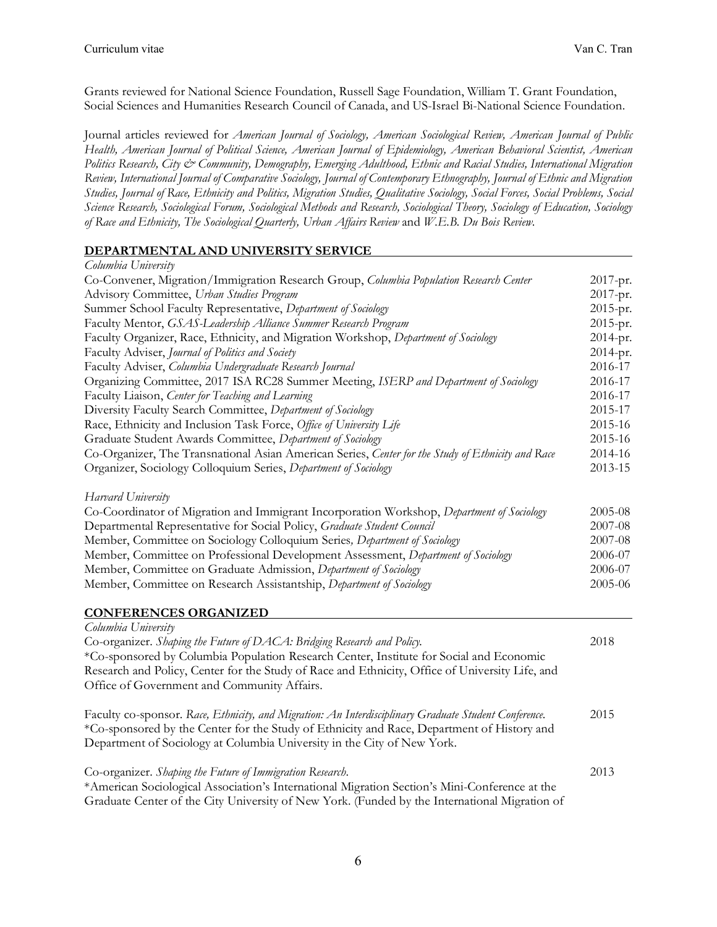Grants reviewed for National Science Foundation, Russell Sage Foundation, William T. Grant Foundation, Social Sciences and Humanities Research Council of Canada, and US-Israel Bi-National Science Foundation.

 Journal articles reviewed for *American Journal of Sociology, American Sociological Review, American Journal of Public Health, American Journal of Political Science, American Journal of Epidemiology, American Behavioral Scientist, American Politics Research, City & Community, Demography, Emerging Adulthood, Ethnic and Racial Studies, International Migration Review, International Journal of Comparative Sociology, Journal of Contemporary Ethnography, Journal of Ethnic and Migration Studies, Journal of Race, Ethnicity and Politics, Migration Studies, Qualitative Sociology, Social Forces, Social Problems, Social Science Research, Sociological Forum, Sociological Methods and Research, Sociological Theory, Sociology of Education, Sociology of Race and Ethnicity, The Sociological Quarterly, Urban Affairs Review* and *W.E.B. Du Bois Review*.

# **DEPARTMENTAL AND UNIVERSITY SERVICE**

| Columbia University                                                                                                                                                                            |          |
|------------------------------------------------------------------------------------------------------------------------------------------------------------------------------------------------|----------|
| Co-Convener, Migration/Immigration Research Group, Columbia Population Research Center                                                                                                         | 2017-pr. |
| Advisory Committee, Urban Studies Program                                                                                                                                                      | 2017-pr. |
| Summer School Faculty Representative, Department of Sociology                                                                                                                                  | 2015-pr. |
| Faculty Mentor, GSAS-Leadership Alliance Summer Research Program                                                                                                                               | 2015-pr. |
| Faculty Organizer, Race, Ethnicity, and Migration Workshop, Department of Sociology                                                                                                            | 2014-pr. |
| Faculty Adviser, Journal of Politics and Society                                                                                                                                               | 2014-pr. |
| Faculty Adviser, Columbia Undergraduate Research Journal                                                                                                                                       | 2016-17  |
| Organizing Committee, 2017 ISA RC28 Summer Meeting, ISERP and Department of Sociology                                                                                                          | 2016-17  |
| Faculty Liaison, Center for Teaching and Learning                                                                                                                                              | 2016-17  |
| Diversity Faculty Search Committee, Department of Sociology                                                                                                                                    | 2015-17  |
| Race, Ethnicity and Inclusion Task Force, Office of University Life                                                                                                                            | 2015-16  |
| Graduate Student Awards Committee, Department of Sociology                                                                                                                                     | 2015-16  |
| Co-Organizer, The Transnational Asian American Series, Center for the Study of Ethnicity and Race                                                                                              | 2014-16  |
| Organizer, Sociology Colloquium Series, Department of Sociology                                                                                                                                | 2013-15  |
| Harvard University                                                                                                                                                                             |          |
| Co-Coordinator of Migration and Immigrant Incorporation Workshop, Department of Sociology                                                                                                      | 2005-08  |
| Departmental Representative for Social Policy, Graduate Student Council                                                                                                                        | 2007-08  |
| Member, Committee on Sociology Colloquium Series, Department of Sociology                                                                                                                      | 2007-08  |
| Member, Committee on Professional Development Assessment, Department of Sociology                                                                                                              | 2006-07  |
| Member, Committee on Graduate Admission, Department of Sociology                                                                                                                               | 2006-07  |
| Member, Committee on Research Assistantship, Department of Sociology                                                                                                                           | 2005-06  |
| <b>CONFERENCES ORGANIZED</b>                                                                                                                                                                   |          |
| Columbia University                                                                                                                                                                            |          |
| Co-organizer. Shaping the Future of DACA: Bridging Research and Policy.                                                                                                                        | 2018     |
| *Co-sponsored by Columbia Population Research Center, Institute for Social and Economic                                                                                                        |          |
| Research and Policy, Center for the Study of Race and Ethnicity, Office of University Life, and                                                                                                |          |
| Office of Government and Community Affairs.                                                                                                                                                    |          |
| Faculty co-sponsor. Race, Ethnicity, and Migration: An Interdisciplinary Graduate Student Conference.                                                                                          | 2015     |
| *Co-sponsored by the Center for the Study of Ethnicity and Race, Department of History and                                                                                                     |          |
| Department of Sociology at Columbia University in the City of New York.                                                                                                                        |          |
| Co-organizer. Shaping the Future of Immigration Research.                                                                                                                                      | 2013     |
| *American Sociological Association's International Migration Section's Mini-Conference at the<br>Graduate Center of the City University of New York. (Funded by the International Migration of |          |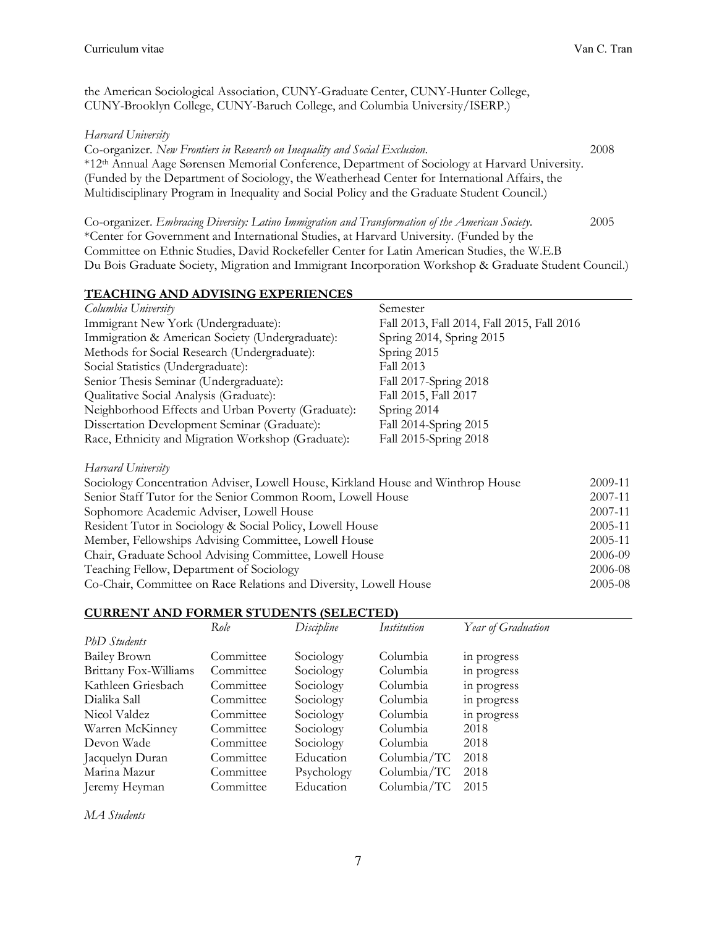the American Sociological Association, CUNY-Graduate Center, CUNY-Hunter College, CUNY-Brooklyn College, CUNY-Baruch College, and Columbia University/ISERP.)

### *Harvard University*

 Co-organizer. *New Frontiers in Research on Inequality and Social Exclusion*. 2008 \*12th Annual Aage Sørensen Memorial Conference, Department of Sociology at Harvard University. (Funded by the Department of Sociology, the Weatherhead Center for International Affairs, the Multidisciplinary Program in Inequality and Social Policy and the Graduate Student Council.)

 Co-organizer. *Embracing Diversity: Latino Immigration and Transformation of the American Society*. 2005 \*Center for Government and International Studies, at Harvard University. (Funded by the Committee on Ethnic Studies, David Rockefeller Center for Latin American Studies, the W.E.B Du Bois Graduate Society, Migration and Immigrant Incorporation Workshop & Graduate Student Council.)

# **TEACHING AND ADVISING EXPERIENCES**

| Columbia University                                | Semester                                   |
|----------------------------------------------------|--------------------------------------------|
| Immigrant New York (Undergraduate):                | Fall 2013, Fall 2014, Fall 2015, Fall 2016 |
| Immigration & American Society (Undergraduate):    | Spring 2014, Spring 2015                   |
| Methods for Social Research (Undergraduate):       | Spring 2015                                |
| Social Statistics (Undergraduate):                 | Fall 2013                                  |
| Senior Thesis Seminar (Undergraduate):             | Fall 2017-Spring 2018                      |
| Qualitative Social Analysis (Graduate):            | Fall 2015, Fall 2017                       |
| Neighborhood Effects and Urban Poverty (Graduate): | Spring 2014                                |
| Dissertation Development Seminar (Graduate):       | Fall 2014-Spring 2015                      |
| Race, Ethnicity and Migration Workshop (Graduate): | Fall 2015-Spring 2018                      |

# *Harvard University*

| Sociology Concentration Adviser, Lowell House, Kirkland House and Winthrop House | 2009-11     |
|----------------------------------------------------------------------------------|-------------|
| Senior Staff Tutor for the Senior Common Room, Lowell House                      | 2007-11     |
| Sophomore Academic Adviser, Lowell House                                         | 2007-11     |
| Resident Tutor in Sociology & Social Policy, Lowell House                        | 2005-11     |
| Member, Fellowships Advising Committee, Lowell House                             | 2005-11     |
| Chair, Graduate School Advising Committee, Lowell House                          | 2006-09     |
| Teaching Fellow, Department of Sociology                                         | 2006-08     |
| Co-Chair, Committee on Race Relations and Diversity, Lowell House                | $2005 - 08$ |

# **CURRENT AND FORMER STUDENTS (SELECTED)**

|                       | Role      | Discipline | Institution | Year of Graduation |
|-----------------------|-----------|------------|-------------|--------------------|
| PhD Students          |           |            |             |                    |
| <b>Bailey Brown</b>   | Committee | Sociology  | Columbia    | in progress        |
| Brittany Fox-Williams | Committee | Sociology  | Columbia    | in progress        |
| Kathleen Griesbach    | Committee | Sociology  | Columbia    | in progress        |
| Dialika Sall          | Committee | Sociology  | Columbia    | in progress        |
| Nicol Valdez          | Committee | Sociology  | Columbia    | in progress        |
| Warren McKinney       | Committee | Sociology  | Columbia    | 2018               |
| Devon Wade            | Committee | Sociology  | Columbia    | 2018               |
| Jacquelyn Duran       | Committee | Education  | Columbia/TC | 2018               |
| Marina Mazur          | Committee | Psychology | Columbia/TC | 2018               |
| Jeremy Heyman         | Committee | Education  | Columbia/TC | 2015               |

 *MA Students*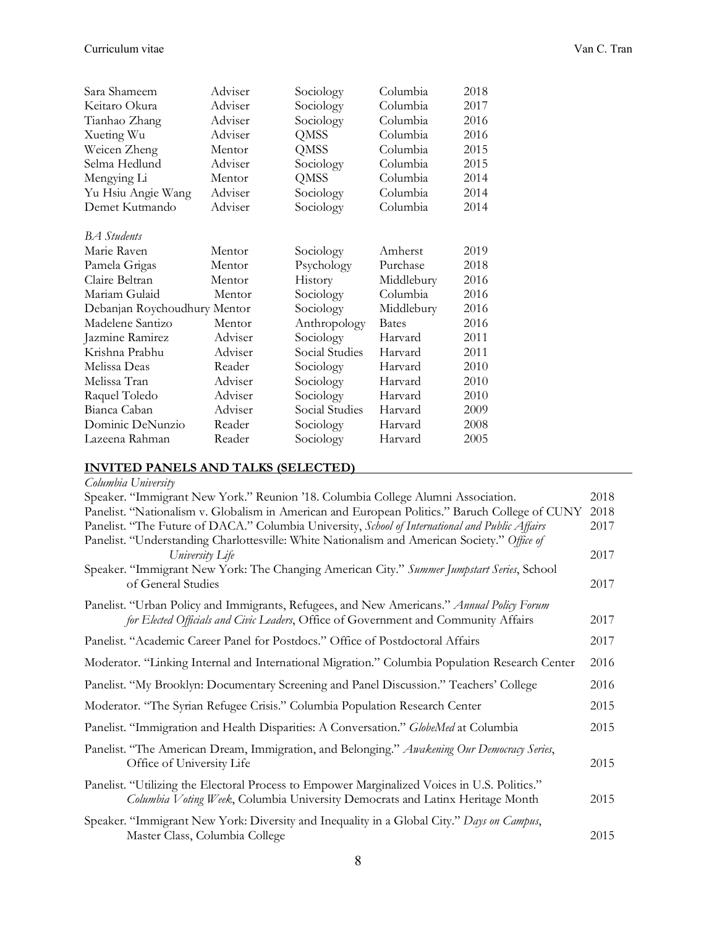| Sara Shameem                 | Adviser | Sociology      | Columbia     | 2018 |
|------------------------------|---------|----------------|--------------|------|
| Keitaro Okura                | Adviser | Sociology      | Columbia     | 2017 |
| Tianhao Zhang                | Adviser | Sociology      | Columbia     | 2016 |
| Xueting Wu                   | Adviser | QMSS           | Columbia     | 2016 |
| Weicen Zheng                 | Mentor  | QMSS           | Columbia     | 2015 |
| Selma Hedlund                | Adviser | Sociology      | Columbia     | 2015 |
| Mengying Li                  | Mentor  | QMSS           | Columbia     | 2014 |
| Yu Hsiu Angie Wang           | Adviser | Sociology      | Columbia     | 2014 |
| Demet Kutmando               | Adviser | Sociology      | Columbia     | 2014 |
| <b>BA</b> Students           |         |                |              |      |
| Marie Raven                  | Mentor  | Sociology      | Amherst      | 2019 |
| Pamela Grigas                | Mentor  | Psychology     | Purchase     | 2018 |
| Claire Beltran               | Mentor  | History        | Middlebury   | 2016 |
| Mariam Gulaid                | Mentor  | Sociology      | Columbia     | 2016 |
| Debanjan Roychoudhury Mentor |         | Sociology      | Middlebury   | 2016 |
| Madelene Santizo             | Mentor  | Anthropology   | <b>Bates</b> | 2016 |
| Jazmine Ramirez              | Adviser | Sociology      | Harvard      | 2011 |
| Krishna Prabhu               | Adviser | Social Studies | Harvard      | 2011 |
| Melissa Deas                 | Reader  | Sociology      | Harvard      | 2010 |
| Melissa Tran                 | Adviser | Sociology      | Harvard      | 2010 |
| Raquel Toledo                | Adviser | Sociology      | Harvard      | 2010 |
| Bianca Caban                 | Adviser | Social Studies | Harvard      | 2009 |
| Dominic DeNunzio             | Reader  | Sociology      | Harvard      | 2008 |
| Lazeena Rahman               | Reader  | Sociology      | Harvard      | 2005 |

### **INVITED PANELS AND TALKS (SELECTED)**

| Columbia University                                                                                                                                                              |      |
|----------------------------------------------------------------------------------------------------------------------------------------------------------------------------------|------|
| Speaker. "Immigrant New York." Reunion '18. Columbia College Alumni Association.                                                                                                 | 2018 |
| Panelist. "Nationalism v. Globalism in American and European Politics." Baruch College of CUNY                                                                                   | 2018 |
| Panelist. "The Future of DACA." Columbia University, School of International and Public Affairs                                                                                  | 2017 |
| Panelist. "Understanding Charlottesville: White Nationalism and American Society." Office of<br>University Life                                                                  | 2017 |
| Speaker. "Immigrant New York: The Changing American City." Summer Jumpstart Series, School<br>of General Studies                                                                 | 2017 |
|                                                                                                                                                                                  |      |
| Panelist. "Urban Policy and Immigrants, Refugees, and New Americans." Annual Policy Forum<br>for Elected Officials and Civic Leaders, Office of Government and Community Affairs | 2017 |
| Panelist. "Academic Career Panel for Postdocs." Office of Postdoctoral Affairs                                                                                                   | 2017 |
| Moderator. "Linking Internal and International Migration." Columbia Population Research Center                                                                                   | 2016 |
| Panelist. "My Brooklyn: Documentary Screening and Panel Discussion." Teachers' College                                                                                           | 2016 |
| Moderator. "The Syrian Refugee Crisis." Columbia Population Research Center                                                                                                      | 2015 |
| Panelist. "Immigration and Health Disparities: A Conversation." GlobeMed at Columbia                                                                                             | 2015 |
| Panelist. "The American Dream, Immigration, and Belonging." Awakening Our Democracy Series,                                                                                      |      |
| Office of University Life                                                                                                                                                        | 2015 |
| Panelist. "Utilizing the Electoral Process to Empower Marginalized Voices in U.S. Politics."<br>Columbia Voting Week, Columbia University Democrats and Latinx Heritage Month    | 2015 |
| Speaker. "Immigrant New York: Diversity and Inequality in a Global City." Days on Campus,                                                                                        |      |
| Master Class, Columbia College                                                                                                                                                   | 2015 |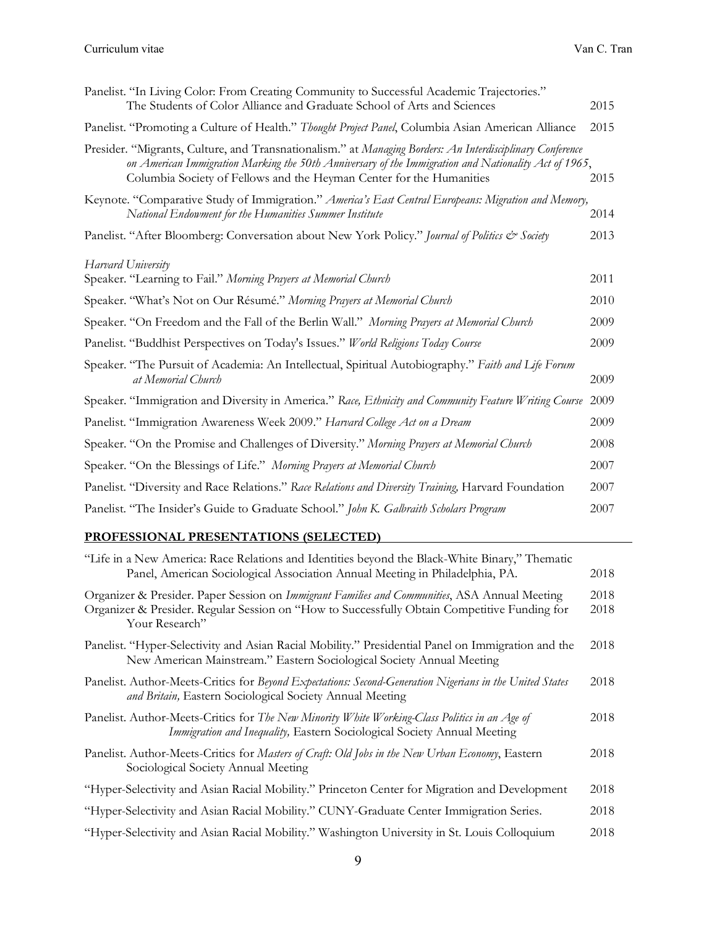| Panelist. "In Living Color: From Creating Community to Successful Academic Trajectories."<br>The Students of Color Alliance and Graduate School of Arts and Sciences                                                                                                                      | 2015 |
|-------------------------------------------------------------------------------------------------------------------------------------------------------------------------------------------------------------------------------------------------------------------------------------------|------|
| Panelist. "Promoting a Culture of Health." Thought Project Panel, Columbia Asian American Alliance                                                                                                                                                                                        | 2015 |
| Presider. "Migrants, Culture, and Transnationalism." at Managing Borders: An Interdisciplinary Conference<br>on American Immigration Marking the 50th Anniversary of the Immigration and Nationality Act of 1965,<br>Columbia Society of Fellows and the Heyman Center for the Humanities | 2015 |
| Keynote. "Comparative Study of Immigration." America's East Central Europeans: Migration and Memory,<br>National Endowment for the Humanities Summer Institute                                                                                                                            | 2014 |
| Panelist. "After Bloomberg: Conversation about New York Policy." Journal of Politics & Society                                                                                                                                                                                            | 2013 |
| Harvard University<br>Speaker. "Learning to Fail." Morning Prayers at Memorial Church                                                                                                                                                                                                     | 2011 |
| Speaker. "What's Not on Our Résumé." Morning Prayers at Memorial Church                                                                                                                                                                                                                   | 2010 |
| Speaker. "On Freedom and the Fall of the Berlin Wall." Morning Prayers at Memorial Church                                                                                                                                                                                                 | 2009 |
| Panelist. "Buddhist Perspectives on Today's Issues." World Religions Today Course                                                                                                                                                                                                         | 2009 |
| Speaker. "The Pursuit of Academia: An Intellectual, Spiritual Autobiography." Faith and Life Forum<br>at Memorial Church                                                                                                                                                                  | 2009 |
| Speaker. "Immigration and Diversity in America." Race, Ethnicity and Community Feature Writing Course                                                                                                                                                                                     | 2009 |
| Panelist. "Immigration Awareness Week 2009." Harvard College Act on a Dream                                                                                                                                                                                                               | 2009 |
| Speaker. "On the Promise and Challenges of Diversity." Morning Prayers at Memorial Church                                                                                                                                                                                                 | 2008 |
| Speaker. "On the Blessings of Life." Morning Prayers at Memorial Church                                                                                                                                                                                                                   | 2007 |
| Panelist. "Diversity and Race Relations." Race Relations and Diversity Training, Harvard Foundation                                                                                                                                                                                       | 2007 |
| Panelist. "The Insider's Guide to Graduate School." John K. Galbraith Scholars Program                                                                                                                                                                                                    | 2007 |
|                                                                                                                                                                                                                                                                                           |      |

### **PROFESSIONAL PRESENTATIONS (SELECTED)**

| "Life in a New America: Race Relations and Identities beyond the Black-White Binary," Thematic<br>Panel, American Sociological Association Annual Meeting in Philadelphia, PA.                                  | 2018         |
|-----------------------------------------------------------------------------------------------------------------------------------------------------------------------------------------------------------------|--------------|
| Organizer & Presider. Paper Session on Immigrant Families and Communities, ASA Annual Meeting<br>Organizer & Presider. Regular Session on "How to Successfully Obtain Competitive Funding for<br>Your Research" | 2018<br>2018 |
| Panelist. "Hyper-Selectivity and Asian Racial Mobility." Presidential Panel on Immigration and the<br>New American Mainstream." Eastern Sociological Society Annual Meeting                                     | 2018         |
| Panelist. Author-Meets-Critics for Beyond Expectations: Second-Generation Nigerians in the United States<br>and Britain, Eastern Sociological Society Annual Meeting                                            | 2018         |
| Panelist. Author-Meets-Critics for The New Minority White Working-Class Politics in an Age of<br>Immigration and Inequality, Eastern Sociological Society Annual Meeting                                        | 2018         |
| Panelist. Author-Meets-Critics for Masters of Craft: Old Jobs in the New Urban Economy, Eastern<br>Sociological Society Annual Meeting                                                                          | 2018         |
| "Hyper-Selectivity and Asian Racial Mobility." Princeton Center for Migration and Development                                                                                                                   | 2018         |
| "Hyper-Selectivity and Asian Racial Mobility." CUNY-Graduate Center Immigration Series.                                                                                                                         | 2018         |
| "Hyper-Selectivity and Asian Racial Mobility." Washington University in St. Louis Colloquium                                                                                                                    | 2018         |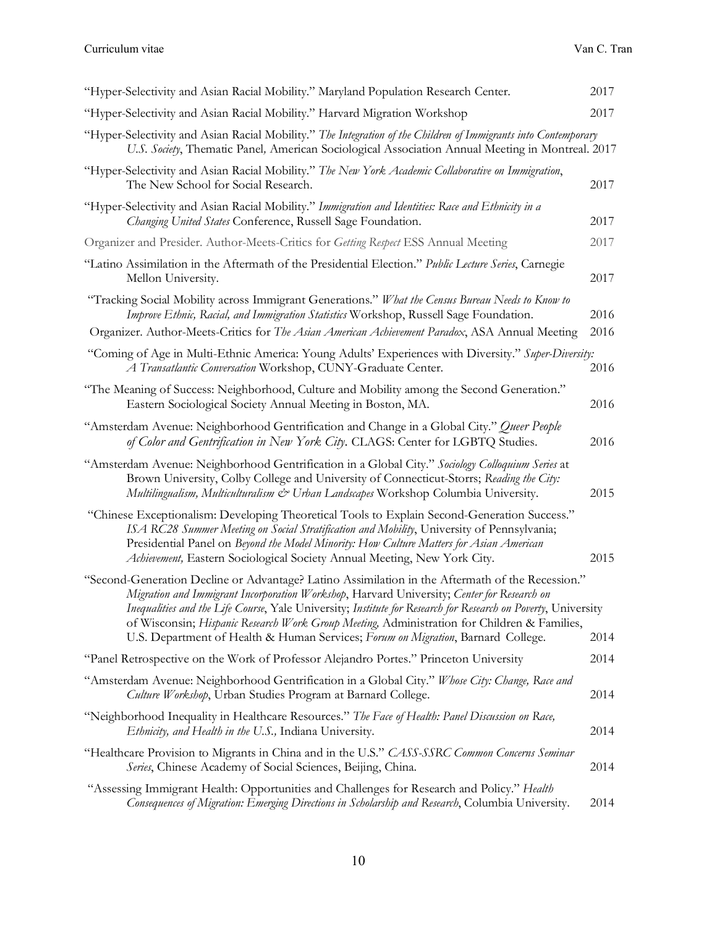| "Hyper-Selectivity and Asian Racial Mobility." Maryland Population Research Center.                                                                                                                                                                                                                                                                                                                            | 2017 |
|----------------------------------------------------------------------------------------------------------------------------------------------------------------------------------------------------------------------------------------------------------------------------------------------------------------------------------------------------------------------------------------------------------------|------|
| "Hyper-Selectivity and Asian Racial Mobility." Harvard Migration Workshop                                                                                                                                                                                                                                                                                                                                      | 2017 |
| "Hyper-Selectivity and Asian Racial Mobility." The Integration of the Children of Immigrants into Contemporary<br>U.S. Society, Thematic Panel, American Sociological Association Annual Meeting in Montreal. 2017                                                                                                                                                                                             |      |
| "Hyper-Selectivity and Asian Racial Mobility." The New York Academic Collaborative on Immigration,<br>The New School for Social Research.                                                                                                                                                                                                                                                                      | 2017 |
| "Hyper-Selectivity and Asian Racial Mobility." Immigration and Identities: Race and Ethnicity in a<br>Changing United States Conference, Russell Sage Foundation.                                                                                                                                                                                                                                              | 2017 |
| Organizer and Presider. Author-Meets-Critics for Getting Respect ESS Annual Meeting                                                                                                                                                                                                                                                                                                                            | 2017 |
| "Latino Assimilation in the Aftermath of the Presidential Election." Public Lecture Series, Carnegie<br>Mellon University.                                                                                                                                                                                                                                                                                     | 2017 |
| "Tracking Social Mobility across Immigrant Generations." What the Census Bureau Needs to Know to<br>Improve Ethnic, Racial, and Immigration Statistics Workshop, Russell Sage Foundation.                                                                                                                                                                                                                      | 2016 |
| Organizer. Author-Meets-Critics for The Asian American Achievement Paradox, ASA Annual Meeting                                                                                                                                                                                                                                                                                                                 | 2016 |
| "Coming of Age in Multi-Ethnic America: Young Adults' Experiences with Diversity." Super-Diversity:<br>A Transatlantic Conversation Workshop, CUNY-Graduate Center.                                                                                                                                                                                                                                            | 2016 |
| "The Meaning of Success: Neighborhood, Culture and Mobility among the Second Generation."<br>Eastern Sociological Society Annual Meeting in Boston, MA.                                                                                                                                                                                                                                                        | 2016 |
| "Amsterdam Avenue: Neighborhood Gentrification and Change in a Global City." Queer People<br>of Color and Gentrification in New York City. CLAGS: Center for LGBTQ Studies.                                                                                                                                                                                                                                    | 2016 |
| "Amsterdam Avenue: Neighborhood Gentrification in a Global City." Sociology Colloquium Series at<br>Brown University, Colby College and University of Connecticut-Storrs; Reading the City:<br>Multilingualism, Multiculturalism & Urban Landscapes Workshop Columbia University.                                                                                                                              | 2015 |
| "Chinese Exceptionalism: Developing Theoretical Tools to Explain Second-Generation Success."<br>ISA RC28 Summer Meeting on Social Stratification and Mobility, University of Pennsylvania;<br>Presidential Panel on Beyond the Model Minority: How Culture Matters for Asian American<br>Achievement, Eastern Sociological Society Annual Meeting, New York City.                                              | 2015 |
| "Second-Generation Decline or Advantage? Latino Assimilation in the Aftermath of the Recession."<br>Migration and Immigrant Incorporation Workshop, Harvard University; Center for Research on<br>Inequalities and the Life Course, Yale University; Institute for Research for Research on Poverty, University<br>of Wisconsin; Hispanic Research Work Group Meeting, Administration for Children & Families, |      |
| U.S. Department of Health & Human Services; Forum on Migration, Barnard College.                                                                                                                                                                                                                                                                                                                               | 2014 |
| "Panel Retrospective on the Work of Professor Alejandro Portes." Princeton University                                                                                                                                                                                                                                                                                                                          | 2014 |
| "Amsterdam Avenue: Neighborhood Gentrification in a Global City." Whose City: Change, Race and<br>Culture Workshop, Urban Studies Program at Barnard College.                                                                                                                                                                                                                                                  | 2014 |
| "Neighborhood Inequality in Healthcare Resources." The Face of Health: Panel Discussion on Race,<br>Ethnicity, and Health in the U.S., Indiana University.                                                                                                                                                                                                                                                     | 2014 |
| "Healthcare Provision to Migrants in China and in the U.S." CASS-SSRC Common Concerns Seminar<br>Series, Chinese Academy of Social Sciences, Beijing, China.                                                                                                                                                                                                                                                   | 2014 |
| "Assessing Immigrant Health: Opportunities and Challenges for Research and Policy." Health<br>Consequences of Migration: Emerging Directions in Scholarship and Research, Columbia University.                                                                                                                                                                                                                 | 2014 |